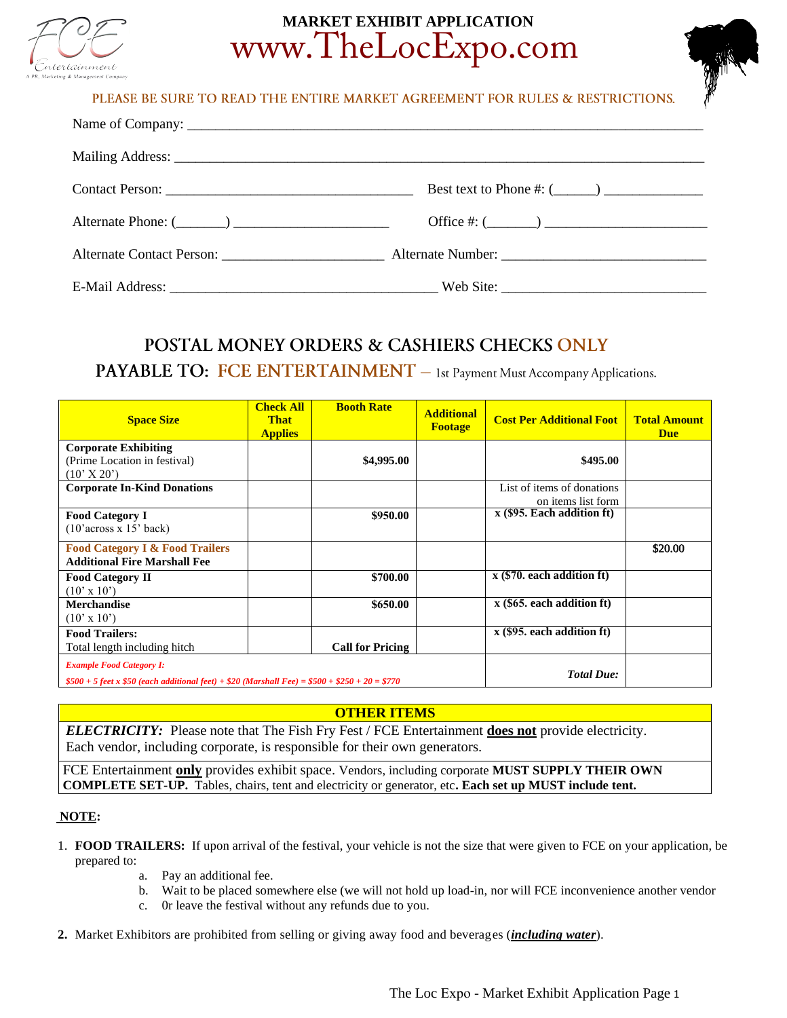

# **MARKET EXHIBIT APPLICATION**  www.TheLocExpo.com



PLEASE BE SURE TO READ THE ENTIRE MARKET AGREEMENT FOR RULES & RESTRICTIONS.

| Best text to Phone #: $(\_\_)$ |
|--------------------------------|
| Office #: $(\_\_)$             |
|                                |
|                                |

## **POSTAL MONEY ORDERS & CASHIERS CHECKS ONLY**

**PAYABLE TO: FCE ENTERTAINMENT** - 1st Payment Must Accompany Applications.

| <b>Space Size</b>                                                                                | <b>Check All</b><br><b>That</b><br><b>Applies</b> | <b>Booth Rate</b>       | <b>Additional</b><br><b>Footage</b> | <b>Cost Per Additional Foot</b>       | <b>Total Amount</b><br><b>Due</b> |
|--------------------------------------------------------------------------------------------------|---------------------------------------------------|-------------------------|-------------------------------------|---------------------------------------|-----------------------------------|
| <b>Corporate Exhibiting</b>                                                                      |                                                   |                         |                                     |                                       |                                   |
| (Prime Location in festival)<br>$(10'$ X 20')                                                    |                                                   | \$4,995.00              |                                     | \$495.00                              |                                   |
| <b>Corporate In-Kind Donations</b>                                                               |                                                   |                         |                                     | List of items of donations            |                                   |
|                                                                                                  |                                                   |                         |                                     | on items list form                    |                                   |
| <b>Food Category I</b>                                                                           |                                                   | \$950.00                |                                     | $\mathbf{x}$ (\$95. Each addition ft) |                                   |
| (10'across x 15' back)                                                                           |                                                   |                         |                                     |                                       |                                   |
| <b>Food Category I &amp; Food Trailers</b>                                                       |                                                   |                         |                                     |                                       | \$20.00                           |
| <b>Additional Fire Marshall Fee</b>                                                              |                                                   |                         |                                     |                                       |                                   |
| <b>Food Category II</b>                                                                          |                                                   | \$700.00                |                                     | $x$ (\$70. each addition ft)          |                                   |
| $(10' \times 10')$                                                                               |                                                   |                         |                                     |                                       |                                   |
| <b>Merchandise</b>                                                                               |                                                   | \$650.00                |                                     | $x$ (\$65. each addition ft)          |                                   |
| $(10' \times 10')$                                                                               |                                                   |                         |                                     |                                       |                                   |
| <b>Food Trailers:</b>                                                                            |                                                   |                         |                                     | $\mathbf{x}$ (\$95. each addition ft) |                                   |
| Total length including hitch                                                                     |                                                   | <b>Call for Pricing</b> |                                     |                                       |                                   |
| <b>Example Food Category I:</b>                                                                  |                                                   |                         |                                     |                                       |                                   |
| $$500 + 5$ feet x \$50 (each additional feet) + \$20 (Marshall Fee) = \$500 + \$250 + 20 = \$770 |                                                   |                         |                                     | <b>Total Due:</b>                     |                                   |

#### **OTHER ITEMS**

*ELECTRICITY:* Please note that The Fish Fry Fest / FCE Entertainment **does not** provide electricity. Each vendor, including corporate, is responsible for their own generators.

FCE Entertainment **only** provides exhibit space. Vendors, including corporate **MUST SUPPLY THEIR OWN COMPLETE SET-UP.** Tables, chairs, tent and electricity or generator, etc**. Each set up MUST include tent.** 

#### **NOTE:**

- 1. **FOOD TRAILERS:** If upon arrival of the festival, your vehicle is not the size that were given to FCE on your application, be prepared to:
	- a. Pay an additional fee.
	- b. Wait to be placed somewhere else (we will not hold up load-in, nor will FCE inconvenience another vendor
	- c. 0r leave the festival without any refunds due to you.
- **2.** Market Exhibitors are prohibited from selling or giving away food and beverages (*including water*).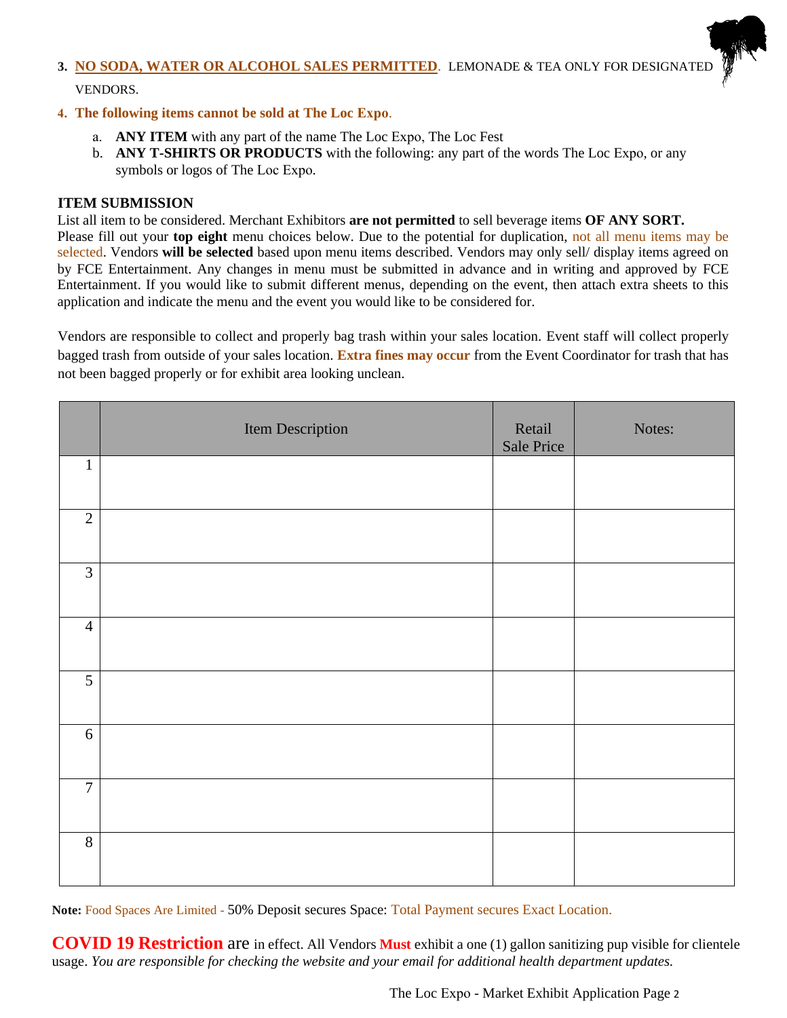## **3. NO SODA, WATER OR ALCOHOL SALES PERMITTED**. LEMONADE & TEA ONLY FOR DESIGNATED VENDORS.

### **4. The following items cannot be sold at The Loc Expo**.

- a. **ANY ITEM** with any part of the name The Loc Expo, The Loc Fest
- b. **ANY T-SHIRTS OR PRODUCTS** with the following: any part of the words The Loc Expo, or any symbols or logos of The Loc Expo.

## **ITEM SUBMISSION**

List all item to be considered. Merchant Exhibitors **are not permitted** to sell beverage items **OF ANY SORT.** Please fill out your **top eight** menu choices below. Due to the potential for duplication, not all menu items may be selected. Vendors **will be selected** based upon menu items described. Vendors may only sell/ display items agreed on by FCE Entertainment. Any changes in menu must be submitted in advance and in writing and approved by FCE Entertainment. If you would like to submit different menus, depending on the event, then attach extra sheets to this application and indicate the menu and the event you would like to be considered for.

Vendors are responsible to collect and properly bag trash within your sales location. Event staff will collect properly bagged trash from outside of your sales location. **Extra fines may occur** from the Event Coordinator for trash that has not been bagged properly or for exhibit area looking unclean.

|                | Item Description | Retail<br>Sale Price | Notes: |
|----------------|------------------|----------------------|--------|
| $\mathbf{1}$   |                  |                      |        |
| $\overline{2}$ |                  |                      |        |
| $\mathfrak{Z}$ |                  |                      |        |
| $\overline{4}$ |                  |                      |        |
| $\overline{5}$ |                  |                      |        |
| 6              |                  |                      |        |
| $\overline{7}$ |                  |                      |        |
| $8\,$          |                  |                      |        |

**Note:** Food Spaces Are Limited - 50% Deposit secures Space: Total Payment secures Exact Location.

**COVID 19 Restriction** are in effect. All Vendors **Must** exhibit a one (1) gallon sanitizing pup visible for clientele usage. *You are responsible for checking the website and your email for additional health department updates.*